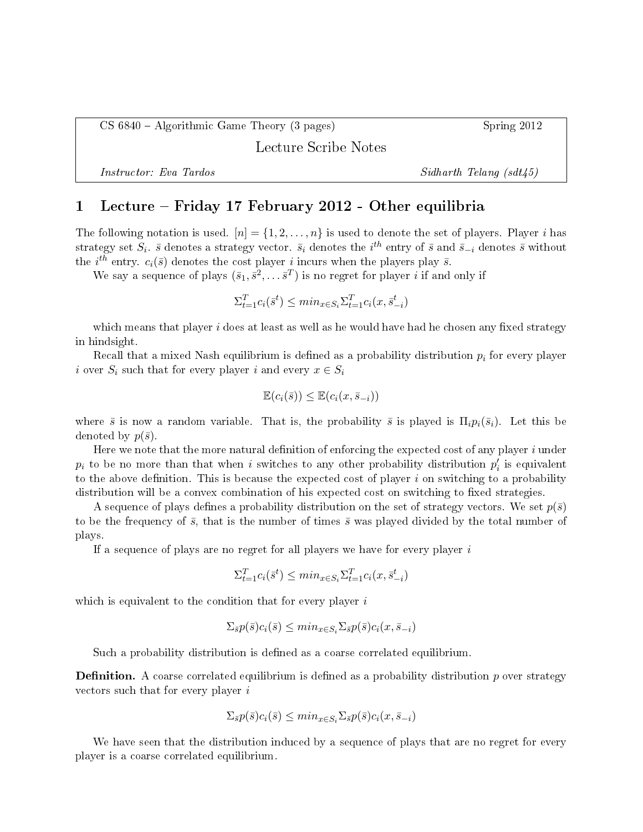CS 6840 Algorithmic Game Theory (3 pages) Spring 2012

Lecture Scribe Notes

Instructor: Eva Tardos Sidharth Telang (sdt45)

## 1 Lecture Friday 17 February 2012 - Other equilibria

The following notation is used.  $[n] = \{1, 2, ..., n\}$  is used to denote the set of players. Player i has strategy set  $S_i$ .  $\bar{s}$  denotes a strategy vector.  $\bar{s}_i$  denotes the  $i^{th}$  entry of  $\bar{s}$  and  $\bar{s}_{-i}$  denotes  $\bar{s}$  without the *i*<sup>th</sup> entry.  $c_i(\bar{s})$  denotes the cost player *i* incurs when the players play  $\bar{s}$ .

We say a sequence of plays  $(\bar{s}_1, \bar{s}^2, \dots \bar{s}^T)$  is no regret for player  $i$  if and only if

$$
\Sigma_{t=1}^T c_i(\bar{s}^t) \le \min_{x \in S_i} \Sigma_{t=1}^T c_i(x, \bar{s}_{-i}^t)
$$

which means that player  $i$  does at least as well as he would have had he chosen any fixed strategy in hindsight.

Recall that a mixed Nash equilibrium is defined as a probability distribution  $p_i$  for every player i over  $S_i$  such that for every player i and every  $x \in S_i$ 

$$
\mathbb{E}(c_i(\bar{s})) \leq \mathbb{E}(c_i(x, \bar{s}_{-i}))
$$

where  $\bar{s}$  is now a random variable. That is, the probability  $\bar{s}$  is played is  $\Pi_i p_i(\bar{s}_i)$ . Let this be denoted by  $p(\bar{s})$ .

Here we note that the more natural definition of enforcing the expected cost of any player  $i$  under  $p_i$  to be no more than that when i switches to any other probability distribution  $p'_i$  is equivalent to the above definition. This is because the expected cost of player  $i$  on switching to a probability distribution will be a convex combination of his expected cost on switching to fixed strategies.

A sequence of plays defines a probability distribution on the set of strategy vectors. We set  $p(\bar{s})$ to be the frequency of  $\bar{s}$ , that is the number of times  $\bar{s}$  was played divided by the total number of plays.

If a sequence of plays are no regret for all players we have for every player  $i$ 

$$
\Sigma_{t=1}^T c_i(\bar{s}^t) \le \min_{x \in S_i} \Sigma_{t=1}^T c_i(x, \bar{s}_{-i}^t)
$$

which is equivalent to the condition that for every player  $i$ 

$$
\Sigma_{\bar{s}}p(\bar{s})c_i(\bar{s}) \leq \min_{x \in S_i} \Sigma_{\bar{s}}p(\bar{s})c_i(x, \bar{s}_{-i})
$$

Such a probability distribution is defined as a coarse correlated equilibrium.

**Definition.** A coarse correlated equilibrium is defined as a probability distribution  $p$  over strategy vectors such that for every player i

$$
\Sigma_{\bar{s}}p(\bar{s})c_i(\bar{s}) \leq min_{x \in S_i}\Sigma_{\bar{s}}p(\bar{s})c_i(x,\bar{s}_{-i})
$$

We have seen that the distribution induced by a sequence of plays that are no regret for every player is a coarse correlated equilibrium.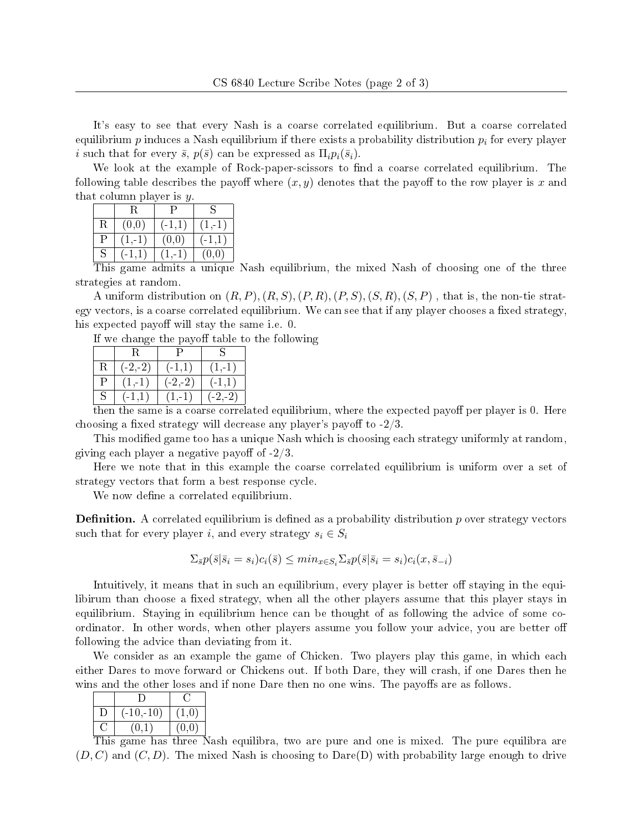It's easy to see that every Nash is a coarse correlated equilibrium. But a coarse correlated equilibrium  $p$  induces a Nash equilibrium if there exists a probability distribution  $p_i$  for every player i such that for every  $\bar{s}$ ,  $p(\bar{s})$  can be expressed as  $\Pi_i p_i(\bar{s}_i)$ .

We look at the example of Rock-paper-scissors to find a coarse correlated equilibrium. The following table describes the payoff where  $(x, y)$  denotes that the payoff to the row player is x and that column player is  $y$ .

|   |         | - 12   |             |  |
|---|---------|--------|-------------|--|
| R | (0,0)   | $-1,1$ | 1, 1        |  |
| Р | $1 - 1$ | (0,0)  |             |  |
| S |         | $-1$   | $0.0^\circ$ |  |
|   |         |        |             |  |

This game admits a unique Nash equilibrium, the mixed Nash of choosing one of the three strategies at random.

A uniform distribution on  $(R, P), (R, S), (P, R), (P, S), (S, R), (S, P)$ , that is, the non-tie strategy vectors, is a coarse correlated equilibrium. We can see that if any player chooses a fixed strategy, his expected payoff will stay the same i.e. 0.

If we change the payoff table to the following

| $(-2,-2)$<br>$1, -1$<br>$-1,1$<br>R<br>р<br>$(-2,-2)$<br>$(-1,1)$<br>(1, 1)<br>S<br>$(-2,-2)$<br>1, 1<br>$-1,1)$ |  |  |
|------------------------------------------------------------------------------------------------------------------|--|--|
|                                                                                                                  |  |  |
|                                                                                                                  |  |  |
|                                                                                                                  |  |  |

then the same is a coarse correlated equilibrium, where the expected payoff per player is 0. Here choosing a fixed strategy will decrease any player's payoff to  $-2/3$ .

This modified game too has a unique Nash which is choosing each strategy uniformly at random, giving each player a negative payoff of  $-2/3$ .

Here we note that in this example the coarse correlated equilibrium is uniform over a set of strategy vectors that form a best response cycle.

We now define a correlated equilibrium.

**Definition.** A correlated equilibrium is defined as a probability distribution  $p$  over strategy vectors such that for every player i, and every strategy  $s_i \in S_i$ 

$$
\Sigma_{\bar{s}}p(\bar{s}|\bar{s}_i=s_i)c_i(\bar{s}) \leq min_{x \in S_i}\Sigma_{\bar{s}}p(\bar{s}|\bar{s}_i=s_i)c_i(x,\bar{s}_{-i})
$$

Intuitively, it means that in such an equilibrium, every player is better off staying in the equilibirum than choose a fixed strategy, when all the other players assume that this player stays in equilibrium. Staying in equilibrium hence can be thought of as following the advice of some coordinator. In other words, when other players assume you follow your advice, you are better o following the advice than deviating from it.

We consider as an example the game of Chicken. Two players play this game, in which each either Dares to move forward or Chickens out. If both Dare, they will crash, if one Dares then he wins and the other loses and if none Dare then no one wins. The payoffs are as follows.

| $(-10,-10)$ | $\left(1,0\right)$ |
|-------------|--------------------|
| $\Omega$    | (0, 0)             |
|             |                    |

This game has three Nash equilibra, two are pure and one is mixed. The pure equilibra are  $(D, C)$  and  $(C, D)$ . The mixed Nash is choosing to Dare(D) with probability large enough to drive